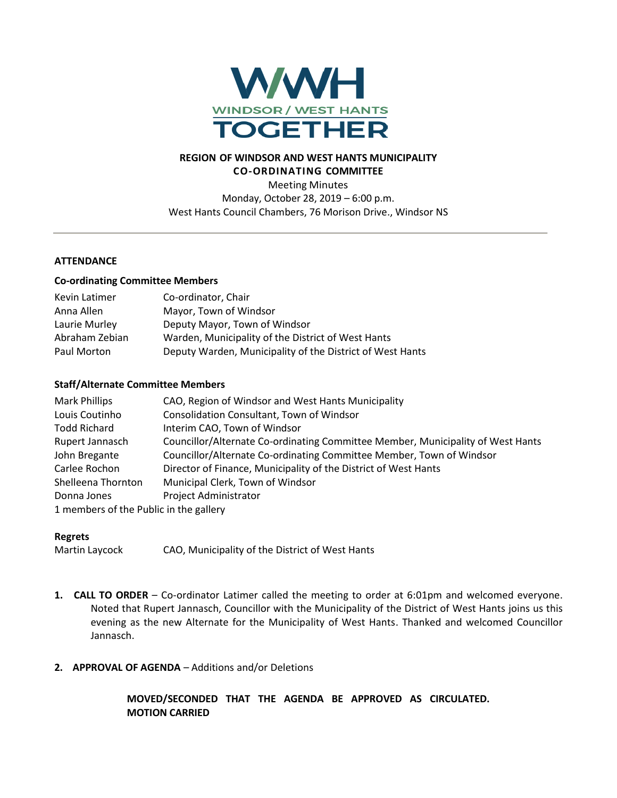

#### **REGION OF WINDSOR AND WEST HANTS MUNICIPALITY CO-ORDINATING COMMITTEE**

Meeting Minutes Monday, October 28, 2019 – 6:00 p.m. West Hants Council Chambers, 76 Morison Drive., Windsor NS

### **ATTENDANCE**

#### **Co-ordinating Committee Members**

| Kevin Latimer  | Co-ordinator, Chair                                       |
|----------------|-----------------------------------------------------------|
| Anna Allen     | Mayor, Town of Windsor                                    |
| Laurie Murley  | Deputy Mayor, Town of Windsor                             |
| Abraham Zebian | Warden, Municipality of the District of West Hants        |
| Paul Morton    | Deputy Warden, Municipality of the District of West Hants |

#### **Staff/Alternate Committee Members**

| <b>Mark Phillips</b>                   | CAO, Region of Windsor and West Hants Municipality                              |
|----------------------------------------|---------------------------------------------------------------------------------|
| Louis Coutinho                         | Consolidation Consultant, Town of Windsor                                       |
| <b>Todd Richard</b>                    | Interim CAO, Town of Windsor                                                    |
| Rupert Jannasch                        | Councillor/Alternate Co-ordinating Committee Member, Municipality of West Hants |
| John Bregante                          | Councillor/Alternate Co-ordinating Committee Member, Town of Windsor            |
| Carlee Rochon                          | Director of Finance, Municipality of the District of West Hants                 |
| Shelleena Thornton                     | Municipal Clerk, Town of Windsor                                                |
| Donna Jones                            | Project Administrator                                                           |
| 1 members of the Public in the gallery |                                                                                 |

### **Regrets**

Martin Laycock CAO, Municipality of the District of West Hants

- **1. CALL TO ORDER** Co-ordinator Latimer called the meeting to order at 6:01pm and welcomed everyone. Noted that Rupert Jannasch, Councillor with the Municipality of the District of West Hants joins us this evening as the new Alternate for the Municipality of West Hants. Thanked and welcomed Councillor Jannasch.
- **2. APPROVAL OF AGENDA** Additions and/or Deletions

**MOVED/SECONDED THAT THE AGENDA BE APPROVED AS CIRCULATED. MOTION CARRIED**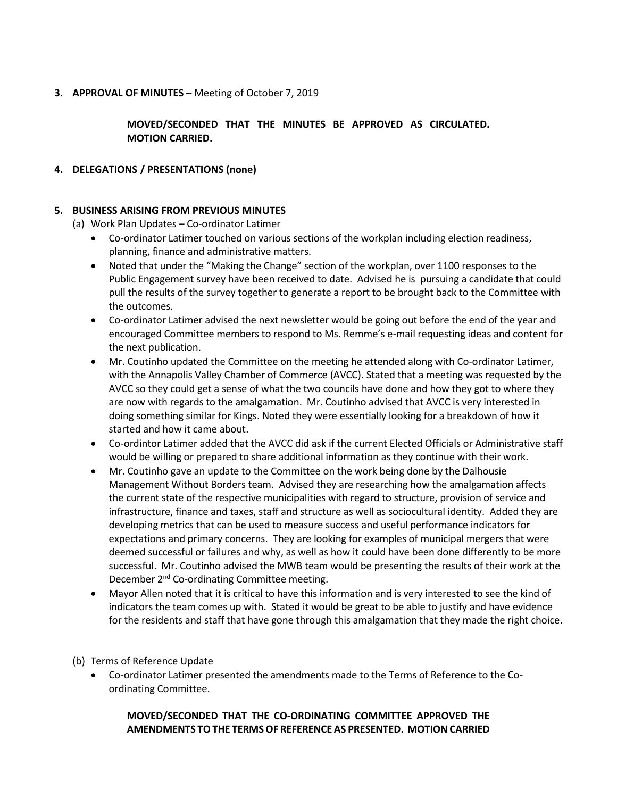### **3. APPROVAL OF MINUTES** – Meeting of October 7, 2019

**MOVED/SECONDED THAT THE MINUTES BE APPROVED AS CIRCULATED. MOTION CARRIED.**

### **4. DELEGATIONS / PRESENTATIONS (none)**

### **5. BUSINESS ARISING FROM PREVIOUS MINUTES**

- (a) Work Plan Updates Co-ordinator Latimer
	- Co-ordinator Latimer touched on various sections of the workplan including election readiness, planning, finance and administrative matters.
	- Noted that under the "Making the Change" section of the workplan, over 1100 responses to the Public Engagement survey have been received to date. Advised he is pursuing a candidate that could pull the results of the survey together to generate a report to be brought back to the Committee with the outcomes.
	- Co-ordinator Latimer advised the next newsletter would be going out before the end of the year and encouraged Committee members to respond to Ms. Remme's e-mail requesting ideas and content for the next publication.
	- Mr. Coutinho updated the Committee on the meeting he attended along with Co-ordinator Latimer, with the Annapolis Valley Chamber of Commerce (AVCC). Stated that a meeting was requested by the AVCC so they could get a sense of what the two councils have done and how they got to where they are now with regards to the amalgamation. Mr. Coutinho advised that AVCC is very interested in doing something similar for Kings. Noted they were essentially looking for a breakdown of how it started and how it came about.
	- Co-ordintor Latimer added that the AVCC did ask if the current Elected Officials or Administrative staff would be willing or prepared to share additional information as they continue with their work.
	- Mr. Coutinho gave an update to the Committee on the work being done by the Dalhousie Management Without Borders team. Advised they are researching how the amalgamation affects the current state of the respective municipalities with regard to structure, provision of service and infrastructure, finance and taxes, staff and structure as well as sociocultural identity. Added they are developing metrics that can be used to measure success and useful performance indicators for expectations and primary concerns. They are looking for examples of municipal mergers that were deemed successful or failures and why, as well as how it could have been done differently to be more successful. Mr. Coutinho advised the MWB team would be presenting the results of their work at the December 2<sup>nd</sup> Co-ordinating Committee meeting.
	- Mayor Allen noted that it is critical to have this information and is very interested to see the kind of indicators the team comes up with. Stated it would be great to be able to justify and have evidence for the residents and staff that have gone through this amalgamation that they made the right choice.
- (b) Terms of Reference Update
	- Co-ordinator Latimer presented the amendments made to the Terms of Reference to the Coordinating Committee.

# **MOVED/SECONDED THAT THE CO-ORDINATING COMMITTEE APPROVED THE AMENDMENTS TO THE TERMS OF REFERENCE AS PRESENTED. MOTION CARRIED**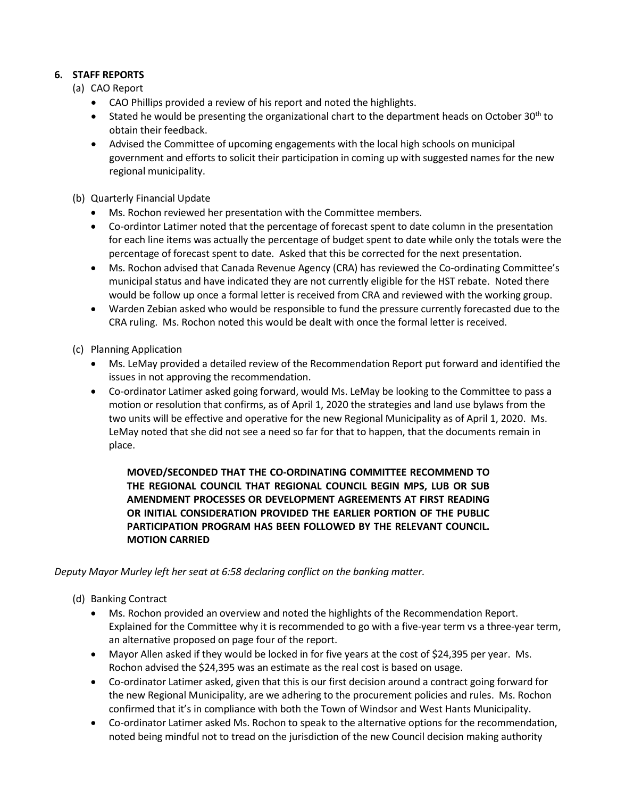# **6. STAFF REPORTS**

- (a) CAO Report
	- CAO Phillips provided a review of his report and noted the highlights.
	- **Stated he would be presenting the organizational chart to the department heads on October 30th to** obtain their feedback.
	- Advised the Committee of upcoming engagements with the local high schools on municipal government and efforts to solicit their participation in coming up with suggested names for the new regional municipality.
- (b) Quarterly Financial Update
	- Ms. Rochon reviewed her presentation with the Committee members.
	- Co-ordintor Latimer noted that the percentage of forecast spent to date column in the presentation for each line items was actually the percentage of budget spent to date while only the totals were the percentage of forecast spent to date. Asked that this be corrected for the next presentation.
	- Ms. Rochon advised that Canada Revenue Agency (CRA) has reviewed the Co-ordinating Committee's municipal status and have indicated they are not currently eligible for the HST rebate. Noted there would be follow up once a formal letter is received from CRA and reviewed with the working group.
	- Warden Zebian asked who would be responsible to fund the pressure currently forecasted due to the CRA ruling. Ms. Rochon noted this would be dealt with once the formal letter is received.
- (c) Planning Application
	- Ms. LeMay provided a detailed review of the Recommendation Report put forward and identified the issues in not approving the recommendation.
	- Co-ordinator Latimer asked going forward, would Ms. LeMay be looking to the Committee to pass a motion or resolution that confirms, as of April 1, 2020 the strategies and land use bylaws from the two units will be effective and operative for the new Regional Municipality as of April 1, 2020. Ms. LeMay noted that she did not see a need so far for that to happen, that the documents remain in place.

# **MOVED/SECONDED THAT THE CO-ORDINATING COMMITTEE RECOMMEND TO THE REGIONAL COUNCIL THAT REGIONAL COUNCIL BEGIN MPS, LUB OR SUB AMENDMENT PROCESSES OR DEVELOPMENT AGREEMENTS AT FIRST READING OR INITIAL CONSIDERATION PROVIDED THE EARLIER PORTION OF THE PUBLIC PARTICIPATION PROGRAM HAS BEEN FOLLOWED BY THE RELEVANT COUNCIL. MOTION CARRIED**

# *Deputy Mayor Murley left her seat at 6:58 declaring conflict on the banking matter.*

### (d) Banking Contract

- Ms. Rochon provided an overview and noted the highlights of the Recommendation Report. Explained for the Committee why it is recommended to go with a five-year term vs a three-year term, an alternative proposed on page four of the report.
- Mayor Allen asked if they would be locked in for five years at the cost of \$24,395 per year. Ms. Rochon advised the \$24,395 was an estimate as the real cost is based on usage.
- Co-ordinator Latimer asked, given that this is our first decision around a contract going forward for the new Regional Municipality, are we adhering to the procurement policies and rules. Ms. Rochon confirmed that it's in compliance with both the Town of Windsor and West Hants Municipality.
- Co-ordinator Latimer asked Ms. Rochon to speak to the alternative options for the recommendation, noted being mindful not to tread on the jurisdiction of the new Council decision making authority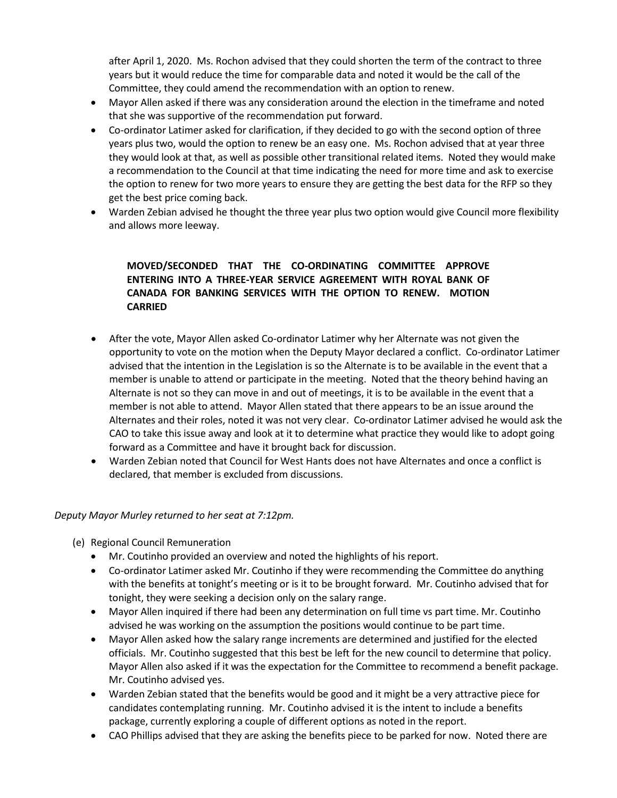after April 1, 2020. Ms. Rochon advised that they could shorten the term of the contract to three years but it would reduce the time for comparable data and noted it would be the call of the Committee, they could amend the recommendation with an option to renew.

- Mayor Allen asked if there was any consideration around the election in the timeframe and noted that she was supportive of the recommendation put forward.
- Co-ordinator Latimer asked for clarification, if they decided to go with the second option of three years plus two, would the option to renew be an easy one. Ms. Rochon advised that at year three they would look at that, as well as possible other transitional related items. Noted they would make a recommendation to the Council at that time indicating the need for more time and ask to exercise the option to renew for two more years to ensure they are getting the best data for the RFP so they get the best price coming back.
- Warden Zebian advised he thought the three year plus two option would give Council more flexibility and allows more leeway.

# **MOVED/SECONDED THAT THE CO-ORDINATING COMMITTEE APPROVE ENTERING INTO A THREE-YEAR SERVICE AGREEMENT WITH ROYAL BANK OF CANADA FOR BANKING SERVICES WITH THE OPTION TO RENEW. MOTION CARRIED**

- After the vote, Mayor Allen asked Co-ordinator Latimer why her Alternate was not given the opportunity to vote on the motion when the Deputy Mayor declared a conflict. Co-ordinator Latimer advised that the intention in the Legislation is so the Alternate is to be available in the event that a member is unable to attend or participate in the meeting. Noted that the theory behind having an Alternate is not so they can move in and out of meetings, it is to be available in the event that a member is not able to attend. Mayor Allen stated that there appears to be an issue around the Alternates and their roles, noted it was not very clear. Co-ordinator Latimer advised he would ask the CAO to take this issue away and look at it to determine what practice they would like to adopt going forward as a Committee and have it brought back for discussion.
- Warden Zebian noted that Council for West Hants does not have Alternates and once a conflict is declared, that member is excluded from discussions.

*Deputy Mayor Murley returned to her seat at 7:12pm.*

- (e) Regional Council Remuneration
	- Mr. Coutinho provided an overview and noted the highlights of his report.
	- Co-ordinator Latimer asked Mr. Coutinho if they were recommending the Committee do anything with the benefits at tonight's meeting or is it to be brought forward. Mr. Coutinho advised that for tonight, they were seeking a decision only on the salary range.
	- Mayor Allen inquired if there had been any determination on full time vs part time. Mr. Coutinho advised he was working on the assumption the positions would continue to be part time.
	- Mayor Allen asked how the salary range increments are determined and justified for the elected officials. Mr. Coutinho suggested that this best be left for the new council to determine that policy. Mayor Allen also asked if it was the expectation for the Committee to recommend a benefit package. Mr. Coutinho advised yes.
	- Warden Zebian stated that the benefits would be good and it might be a very attractive piece for candidates contemplating running. Mr. Coutinho advised it is the intent to include a benefits package, currently exploring a couple of different options as noted in the report.
	- CAO Phillips advised that they are asking the benefits piece to be parked for now. Noted there are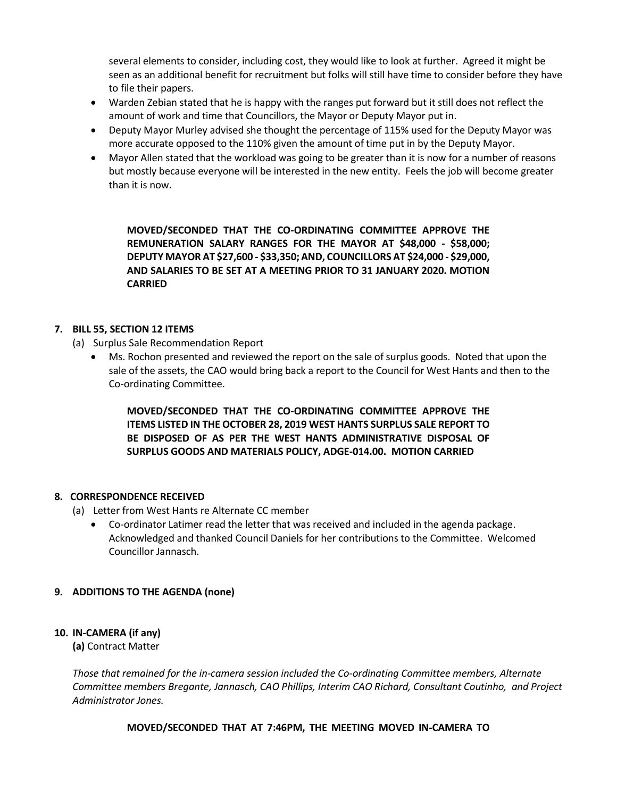several elements to consider, including cost, they would like to look at further. Agreed it might be seen as an additional benefit for recruitment but folks will still have time to consider before they have to file their papers.

- Warden Zebian stated that he is happy with the ranges put forward but it still does not reflect the amount of work and time that Councillors, the Mayor or Deputy Mayor put in.
- Deputy Mayor Murley advised she thought the percentage of 115% used for the Deputy Mayor was more accurate opposed to the 110% given the amount of time put in by the Deputy Mayor.
- Mayor Allen stated that the workload was going to be greater than it is now for a number of reasons but mostly because everyone will be interested in the new entity. Feels the job will become greater than it is now.

**MOVED/SECONDED THAT THE CO-ORDINATING COMMITTEE APPROVE THE REMUNERATION SALARY RANGES FOR THE MAYOR AT \$48,000 - \$58,000; DEPUTY MAYOR AT \$27,600 - \$33,350; AND, COUNCILLORS AT \$24,000 - \$29,000, AND SALARIES TO BE SET AT A MEETING PRIOR TO 31 JANUARY 2020. MOTION CARRIED** 

### **7. BILL 55, SECTION 12 ITEMS**

- (a) Surplus Sale Recommendation Report
	- Ms. Rochon presented and reviewed the report on the sale of surplus goods. Noted that upon the sale of the assets, the CAO would bring back a report to the Council for West Hants and then to the Co-ordinating Committee.

**MOVED/SECONDED THAT THE CO-ORDINATING COMMITTEE APPROVE THE ITEMS LISTED IN THE OCTOBER 28, 2019 WEST HANTS SURPLUS SALE REPORT TO BE DISPOSED OF AS PER THE WEST HANTS ADMINISTRATIVE DISPOSAL OF SURPLUS GOODS AND MATERIALS POLICY, ADGE-014.00. MOTION CARRIED**

# **8. CORRESPONDENCE RECEIVED**

- (a) Letter from West Hants re Alternate CC member
	- Co-ordinator Latimer read the letter that was received and included in the agenda package. Acknowledged and thanked Council Daniels for her contributions to the Committee. Welcomed Councillor Jannasch.

### **9. ADDITIONS TO THE AGENDA (none)**

# **10. IN-CAMERA (if any)**

**(a)** Contract Matter

*Those that remained for the in-camera session included the Co-ordinating Committee members, Alternate Committee members Bregante, Jannasch, CAO Phillips, Interim CAO Richard, Consultant Coutinho, and Project Administrator Jones.*

**MOVED/SECONDED THAT AT 7:46PM, THE MEETING MOVED IN-CAMERA TO**